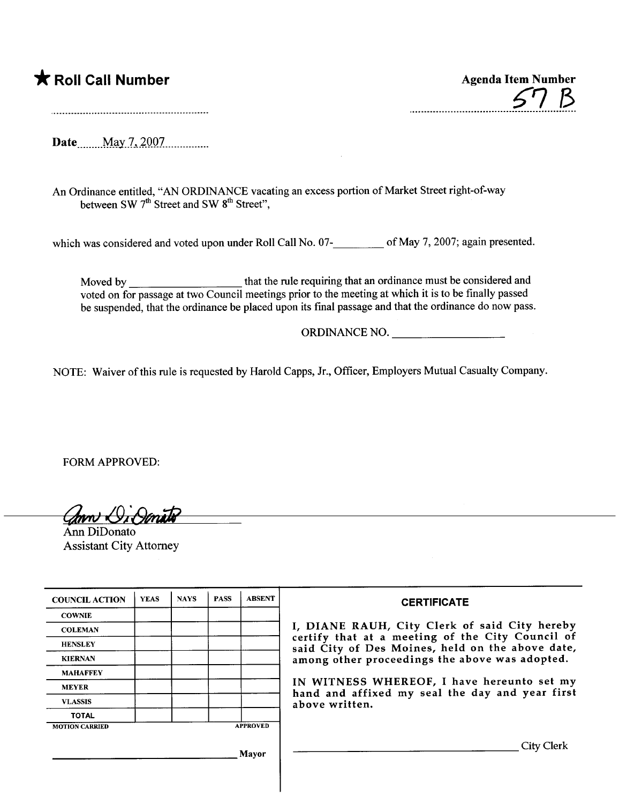## \* Roll Call Number Agenda Item Number

 ${\cal B}$ 

Date \_\_\_\_\_\_ May 7, 2007

An Ordinance entitled, "AN ORDINANCE vacating an excess portion of Market Street right-of-way between SW 7<sup>th</sup> Street and SW 8<sup>th</sup> Street",

which was considered and voted upon under Roll Call No. 07-<br>
of May 7, 2007; again presented.

Moved by \_\_\_\_\_\_\_\_\_\_\_\_\_\_\_\_\_\_\_\_\_\_\_\_that the rule requiring that an ordinance must be considered and voted on for passage at two Council meetings prior to the meeting at which it is to be finally passed be suspended, that the ordinance be placed upon its final passage and that the ordinance do now pass.

ORDINANCE NO.

NOTE: Waiver of this rule is requested by Harold Capps, Jr., Officer, Employers Mutual Casualty Company.

FORM APPROVED:

Conni D. Omato

Assistant City Attorney

| <b>COUNCIL ACTION</b> | <b>YEAS</b> | <b>NAYS</b> | <b>PASS</b> | <b>ABSENT</b>   | <b>CERTIFICATE</b>                                                                                                                                                                                                                                                                                                         |
|-----------------------|-------------|-------------|-------------|-----------------|----------------------------------------------------------------------------------------------------------------------------------------------------------------------------------------------------------------------------------------------------------------------------------------------------------------------------|
| <b>COWNIE</b>         |             |             |             |                 | I, DIANE RAUH, City Clerk of said City hereby<br>certify that at a meeting of the City Council of<br>said City of Des Moines, held on the above date,<br>among other proceedings the above was adopted.<br>IN WITNESS WHEREOF, I have hereunto set my<br>hand and affixed my seal the day and year first<br>above written. |
| <b>COLEMAN</b>        |             |             |             |                 |                                                                                                                                                                                                                                                                                                                            |
| <b>HENSLEY</b>        |             |             |             |                 |                                                                                                                                                                                                                                                                                                                            |
| <b>KIERNAN</b>        |             |             |             |                 |                                                                                                                                                                                                                                                                                                                            |
| <b>MAHAFFEY</b>       |             |             |             |                 |                                                                                                                                                                                                                                                                                                                            |
| <b>MEYER</b>          |             |             |             |                 |                                                                                                                                                                                                                                                                                                                            |
| <b>VLASSIS</b>        |             |             |             |                 |                                                                                                                                                                                                                                                                                                                            |
| <b>TOTAL</b>          |             |             |             |                 |                                                                                                                                                                                                                                                                                                                            |
| <b>MOTION CARRIED</b> |             |             |             | <b>APPROVED</b> |                                                                                                                                                                                                                                                                                                                            |
| Mayor                 |             |             |             |                 | City Clerk                                                                                                                                                                                                                                                                                                                 |